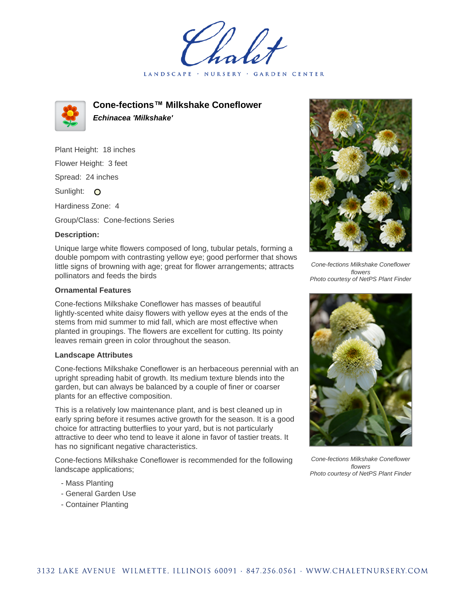LANDSCAPE · NURSERY GARDEN CENTER



**Cone-fections™ Milkshake Coneflower Echinacea 'Milkshake'**

Plant Height: 18 inches Flower Height: 3 feet Spread: 24 inches

Sunlight: O

Hardiness Zone: 4

Group/Class: Cone-fections Series

## **Description:**

Unique large white flowers composed of long, tubular petals, forming a double pompom with contrasting yellow eye; good performer that shows little signs of browning with age; great for flower arrangements; attracts pollinators and feeds the birds

## **Ornamental Features**

Cone-fections Milkshake Coneflower has masses of beautiful lightly-scented white daisy flowers with yellow eyes at the ends of the stems from mid summer to mid fall, which are most effective when planted in groupings. The flowers are excellent for cutting. Its pointy leaves remain green in color throughout the season.

## **Landscape Attributes**

Cone-fections Milkshake Coneflower is an herbaceous perennial with an upright spreading habit of growth. Its medium texture blends into the garden, but can always be balanced by a couple of finer or coarser plants for an effective composition.

This is a relatively low maintenance plant, and is best cleaned up in early spring before it resumes active growth for the season. It is a good choice for attracting butterflies to your yard, but is not particularly attractive to deer who tend to leave it alone in favor of tastier treats. It has no significant negative characteristics.

Cone-fections Milkshake Coneflower is recommended for the following landscape applications;

- Mass Planting
- General Garden Use
- Container Planting



Cone-fections Milkshake Coneflower flowers Photo courtesy of NetPS Plant Finder



Cone-fections Milkshake Coneflower flowers Photo courtesy of NetPS Plant Finder